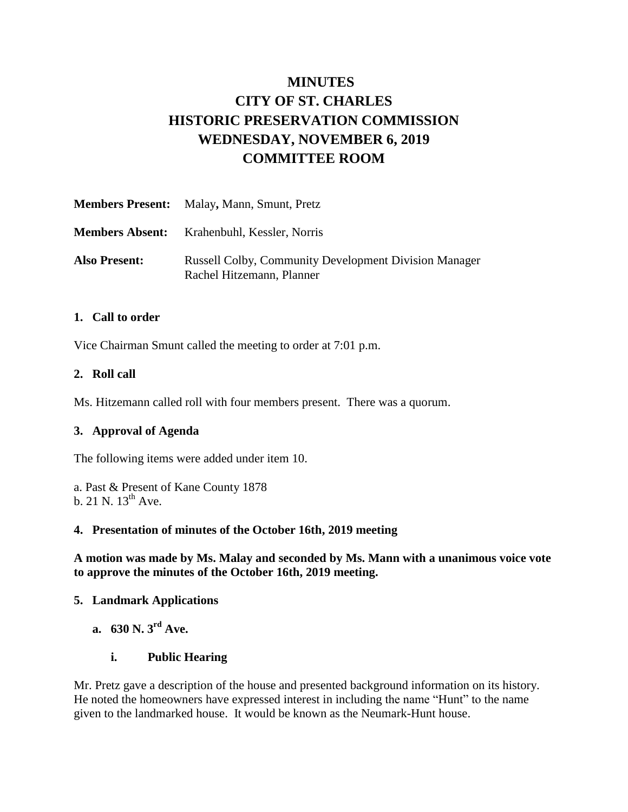# **MINUTES CITY OF ST. CHARLES HISTORIC PRESERVATION COMMISSION WEDNESDAY, NOVEMBER 6, 2019 COMMITTEE ROOM**

|                      | <b>Members Present:</b> Malay, Mann, Smunt, Pretz                                         |
|----------------------|-------------------------------------------------------------------------------------------|
|                      | <b>Members Absent:</b> Krahenbuhl, Kessler, Norris                                        |
| <b>Also Present:</b> | <b>Russell Colby, Community Development Division Manager</b><br>Rachel Hitzemann, Planner |

#### **1. Call to order**

Vice Chairman Smunt called the meeting to order at 7:01 p.m.

#### **2. Roll call**

Ms. Hitzemann called roll with four members present. There was a quorum.

# **3. Approval of Agenda**

The following items were added under item 10.

a. Past & Present of Kane County 1878 b. 21 N.  $13^{th}$  Ave.

#### **4. Presentation of minutes of the October 16th, 2019 meeting**

**A motion was made by Ms. Malay and seconded by Ms. Mann with a unanimous voice vote to approve the minutes of the October 16th, 2019 meeting.** 

# **5. Landmark Applications**

**a. 630 N. 3rd Ave.**

# **i. Public Hearing**

Mr. Pretz gave a description of the house and presented background information on its history. He noted the homeowners have expressed interest in including the name "Hunt" to the name given to the landmarked house. It would be known as the Neumark-Hunt house.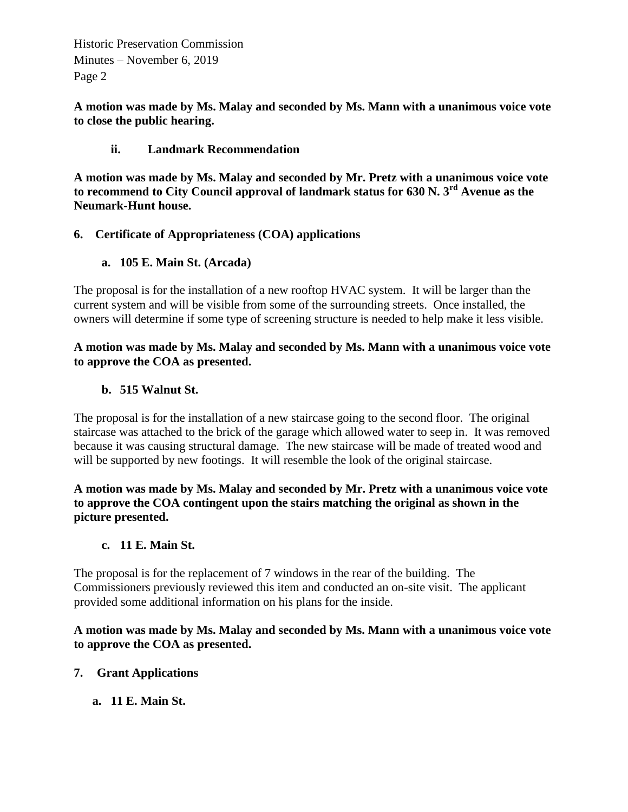Historic Preservation Commission Minutes – November 6, 2019 Page 2

**A motion was made by Ms. Malay and seconded by Ms. Mann with a unanimous voice vote to close the public hearing.** 

#### **ii. Landmark Recommendation**

**A motion was made by Ms. Malay and seconded by Mr. Pretz with a unanimous voice vote to recommend to City Council approval of landmark status for 630 N. 3rd Avenue as the Neumark-Hunt house.** 

#### **6. Certificate of Appropriateness (COA) applications**

**a. 105 E. Main St. (Arcada)**

The proposal is for the installation of a new rooftop HVAC system. It will be larger than the current system and will be visible from some of the surrounding streets. Once installed, the owners will determine if some type of screening structure is needed to help make it less visible.

#### **A motion was made by Ms. Malay and seconded by Ms. Mann with a unanimous voice vote to approve the COA as presented.**

#### **b. 515 Walnut St.**

The proposal is for the installation of a new staircase going to the second floor. The original staircase was attached to the brick of the garage which allowed water to seep in. It was removed because it was causing structural damage. The new staircase will be made of treated wood and will be supported by new footings. It will resemble the look of the original staircase.

**A motion was made by Ms. Malay and seconded by Mr. Pretz with a unanimous voice vote to approve the COA contingent upon the stairs matching the original as shown in the picture presented.**

#### **c. 11 E. Main St.**

The proposal is for the replacement of 7 windows in the rear of the building. The Commissioners previously reviewed this item and conducted an on-site visit. The applicant provided some additional information on his plans for the inside.

#### **A motion was made by Ms. Malay and seconded by Ms. Mann with a unanimous voice vote to approve the COA as presented.**

# **7. Grant Applications**

**a. 11 E. Main St.**